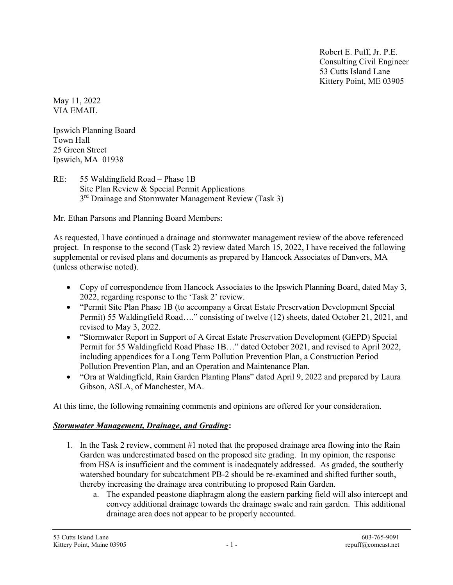Robert E. Puff, Jr. P.E. Consulting Civil Engineer 53 Cutts Island Lane Kittery Point, ME 03905

May 11, 2022 VIA EMAIL

Ipswich Planning Board Town Hall 25 Green Street Ipswich, MA 01938

RE: 55 Waldingfield Road – Phase 1B Site Plan Review & Special Permit Applications 3<sup>rd</sup> Drainage and Stormwater Management Review (Task 3)

Mr. Ethan Parsons and Planning Board Members:

As requested, I have continued a drainage and stormwater management review of the above referenced project. In response to the second (Task 2) review dated March 15, 2022, I have received the following supplemental or revised plans and documents as prepared by Hancock Associates of Danvers, MA (unless otherwise noted).

- Copy of correspondence from Hancock Associates to the Ipswich Planning Board, dated May 3, 2022, regarding response to the 'Task 2' review.
- "Permit Site Plan Phase 1B (to accompany a Great Estate Preservation Development Special Permit) 55 Waldingfield Road…." consisting of twelve (12) sheets, dated October 21, 2021, and revised to May 3, 2022.
- "Stormwater Report in Support of A Great Estate Preservation Development (GEPD) Special Permit for 55 Waldingfield Road Phase 1B…" dated October 2021, and revised to April 2022, including appendices for a Long Term Pollution Prevention Plan, a Construction Period Pollution Prevention Plan, and an Operation and Maintenance Plan.
- "Ora at Waldingfield, Rain Garden Planting Plans" dated April 9, 2022 and prepared by Laura Gibson, ASLA, of Manchester, MA.

At this time, the following remaining comments and opinions are offered for your consideration.

## Stormwater Management, Drainage, and Grading:

- 1. In the Task 2 review, comment #1 noted that the proposed drainage area flowing into the Rain Garden was underestimated based on the proposed site grading. In my opinion, the response from HSA is insufficient and the comment is inadequately addressed. As graded, the southerly watershed boundary for subcatchment PB-2 should be re-examined and shifted further south, thereby increasing the drainage area contributing to proposed Rain Garden.
	- a. The expanded peastone diaphragm along the eastern parking field will also intercept and convey additional drainage towards the drainage swale and rain garden. This additional drainage area does not appear to be properly accounted.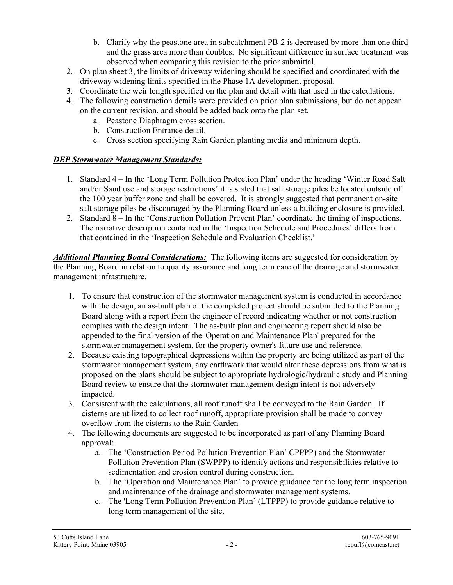- b. Clarify why the peastone area in subcatchment PB-2 is decreased by more than one third and the grass area more than doubles. No significant difference in surface treatment was observed when comparing this revision to the prior submittal.
- 2. On plan sheet 3, the limits of driveway widening should be specified and coordinated with the driveway widening limits specified in the Phase 1A development proposal.
- 3. Coordinate the weir length specified on the plan and detail with that used in the calculations.
- 4. The following construction details were provided on prior plan submissions, but do not appear on the current revision, and should be added back onto the plan set.
	- a. Peastone Diaphragm cross section.
	- b. Construction Entrance detail.
	- c. Cross section specifying Rain Garden planting media and minimum depth.

## **DEP Stormwater Management Standards:**

- 1. Standard 4 In the 'Long Term Pollution Protection Plan' under the heading 'Winter Road Salt and/or Sand use and storage restrictions' it is stated that salt storage piles be located outside of the 100 year buffer zone and shall be covered. It is strongly suggested that permanent on-site salt storage piles be discouraged by the Planning Board unless a building enclosure is provided.
- 2. Standard 8 In the 'Construction Pollution Prevent Plan' coordinate the timing of inspections. The narrative description contained in the 'Inspection Schedule and Procedures' differs from that contained in the 'Inspection Schedule and Evaluation Checklist.'

Additional Planning Board Considerations: The following items are suggested for consideration by the Planning Board in relation to quality assurance and long term care of the drainage and stormwater management infrastructure.

- 1. To ensure that construction of the stormwater management system is conducted in accordance with the design, an as-built plan of the completed project should be submitted to the Planning Board along with a report from the engineer of record indicating whether or not construction complies with the design intent. The as-built plan and engineering report should also be appended to the final version of the 'Operation and Maintenance Plan' prepared for the stormwater management system, for the property owner's future use and reference.
- 2. Because existing topographical depressions within the property are being utilized as part of the stormwater management system, any earthwork that would alter these depressions from what is proposed on the plans should be subject to appropriate hydrologic/hydraulic study and Planning Board review to ensure that the stormwater management design intent is not adversely impacted.
- 3. Consistent with the calculations, all roof runoff shall be conveyed to the Rain Garden. If cisterns are utilized to collect roof runoff, appropriate provision shall be made to convey overflow from the cisterns to the Rain Garden
- 4. The following documents are suggested to be incorporated as part of any Planning Board approval:
	- a. The 'Construction Period Pollution Prevention Plan' CPPPP) and the Stormwater Pollution Prevention Plan (SWPPP) to identify actions and responsibilities relative to sedimentation and erosion control during construction.
	- b. The 'Operation and Maintenance Plan' to provide guidance for the long term inspection and maintenance of the drainage and stormwater management systems.
	- c. The 'Long Term Pollution Prevention Plan' (LTPPP) to provide guidance relative to long term management of the site.